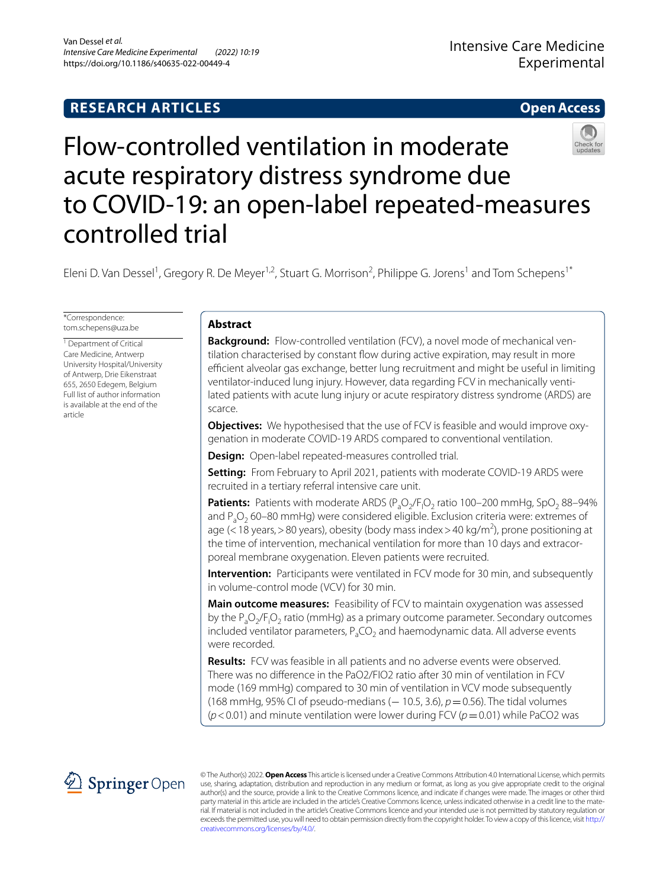# **RESEARCH ARTICLES**

# **Open Access**



# Flow‑controlled ventilation in moderate acute respiratory distress syndrome due to COVID-19: an open-label repeated-measures controlled trial

Eleni D. Van Dessel<sup>1</sup>, Gregory R. De Meyer<sup>1,2</sup>, Stuart G. Morrison<sup>2</sup>, Philippe G. Jorens<sup>1</sup> and Tom Schepens<sup>1\*</sup>

\*Correspondence: tom.schepens@uza.be

<sup>1</sup> Department of Critical Care Medicine, Antwerp University Hospital/University of Antwerp, Drie Eikenstraat 655, 2650 Edegem, Belgium Full list of author information is available at the end of the article

# **Abstract**

**Background:** Flow-controlled ventilation (FCV), a novel mode of mechanical ventilation characterised by constant fow during active expiration, may result in more efficient alveolar gas exchange, better lung recruitment and might be useful in limiting ventilator-induced lung injury. However, data regarding FCV in mechanically ventilated patients with acute lung injury or acute respiratory distress syndrome (ARDS) are scarce.

**Objectives:** We hypothesised that the use of FCV is feasible and would improve oxygenation in moderate COVID-19 ARDS compared to conventional ventilation.

**Design:** Open-label repeated-measures controlled trial.

**Setting:** From February to April 2021, patients with moderate COVID-19 ARDS were recruited in a tertiary referral intensive care unit.

**Patients:** Patients with moderate ARDS (P<sub>a</sub>O<sub>2</sub>/F<sub>1</sub>O<sub>2</sub> ratio 100–200 mmHg, SpO<sub>2</sub> 88–94% and  $P_2O_2$  60–80 mmHg) were considered eligible. Exclusion criteria were: extremes of age (< 18 years, > 80 years), obesity (body mass index > 40 kg/m<sup>2</sup>), prone positioning at the time of intervention, mechanical ventilation for more than 10 days and extracorporeal membrane oxygenation. Eleven patients were recruited.

**Intervention:** Participants were ventilated in FCV mode for 30 min, and subsequently in volume-control mode (VCV) for 30 min.

**Main outcome measures:** Feasibility of FCV to maintain oxygenation was assessed by the  $P_aO_2/F_iO_2$  ratio (mmHg) as a primary outcome parameter. Secondary outcomes included ventilator parameters,  $P_aCO_2$  and haemodynamic data. All adverse events were recorded.

**Results:** FCV was feasible in all patients and no adverse events were observed. There was no diference in the PaO2/FIO2 ratio after 30 min of ventilation in FCV mode (169 mmHg) compared to 30 min of ventilation in VCV mode subsequently (168 mmHg, 95% CI of pseudo-medians (– 10.5, 3.6), *p* = 0.56). The tidal volumes ( $p$ <0.01) and minute ventilation were lower during FCV ( $p$  = 0.01) while PaCO2 was



© The Author(s) 2022. **Open Access** This article is licensed under a Creative Commons Attribution 4.0 International License, which permits use, sharing, adaptation, distribution and reproduction in any medium or format, as long as you give appropriate credit to the original author(s) and the source, provide a link to the Creative Commons licence, and indicate if changes were made. The images or other third party material in this article are included in the article's Creative Commons licence, unless indicated otherwise in a credit line to the material. If material is not included in the article's Creative Commons licence and your intended use is not permitted by statutory regulation or exceeds the permitted use, you will need to obtain permission directly from the copyright holder. To view a copy of this licence, visit [http://](http://creativecommons.org/licenses/by/4.0/) [creativecommons.org/licenses/by/4.0/.](http://creativecommons.org/licenses/by/4.0/)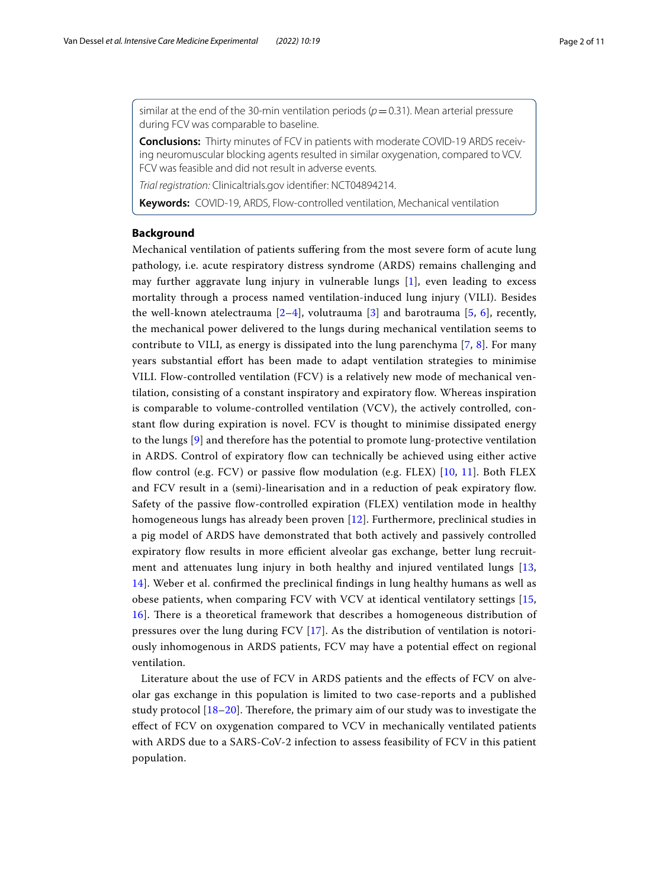similar at the end of the 30-min ventilation periods  $(p=0.31)$ . Mean arterial pressure during FCV was comparable to baseline.

**Conclusions:** Thirty minutes of FCV in patients with moderate COVID-19 ARDS receiving neuromuscular blocking agents resulted in similar oxygenation, compared to VCV. FCV was feasible and did not result in adverse events.

*Trial registration:* Clinicaltrials.gov identifer: NCT04894214.

**Keywords:** COVID-19, ARDS, Flow-controlled ventilation, Mechanical ventilation

# **Background**

Mechanical ventilation of patients sufering from the most severe form of acute lung pathology, i.e. acute respiratory distress syndrome (ARDS) remains challenging and may further aggravate lung injury in vulnerable lungs [[1\]](#page-9-0), even leading to excess mortality through a process named ventilation-induced lung injury (VILI). Besides the well-known atelectrauma  $[2-4]$  $[2-4]$  $[2-4]$ , volutrauma  $[3]$  $[3]$  and barotrauma  $[5, 6]$  $[5, 6]$  $[5, 6]$  $[5, 6]$ , recently, the mechanical power delivered to the lungs during mechanical ventilation seems to contribute to VILI, as energy is dissipated into the lung parenchyma [[7,](#page-10-2) [8](#page-10-3)]. For many years substantial efort has been made to adapt ventilation strategies to minimise VILI. Flow-controlled ventilation (FCV) is a relatively new mode of mechanical ventilation, consisting of a constant inspiratory and expiratory fow. Whereas inspiration is comparable to volume-controlled ventilation (VCV), the actively controlled, constant fow during expiration is novel. FCV is thought to minimise dissipated energy to the lungs [[9\]](#page-10-4) and therefore has the potential to promote lung-protective ventilation in ARDS. Control of expiratory fow can technically be achieved using either active fow control (e.g. FCV) or passive fow modulation (e.g. FLEX) [[10](#page-10-5), [11](#page-10-6)]. Both FLEX and FCV result in a (semi)-linearisation and in a reduction of peak expiratory fow. Safety of the passive fow-controlled expiration (FLEX) ventilation mode in healthy homogeneous lungs has already been proven [[12\]](#page-10-7). Furthermore, preclinical studies in a pig model of ARDS have demonstrated that both actively and passively controlled expiratory flow results in more efficient alveolar gas exchange, better lung recruitment and attenuates lung injury in both healthy and injured ventilated lungs [\[13](#page-10-8), [14\]](#page-10-9). Weber et al. confrmed the preclinical fndings in lung healthy humans as well as obese patients, when comparing FCV with VCV at identical ventilatory settings [\[15](#page-10-10), [16\]](#page-10-11). Tere is a theoretical framework that describes a homogeneous distribution of pressures over the lung during FCV [\[17](#page-10-12)]. As the distribution of ventilation is notoriously inhomogenous in ARDS patients, FCV may have a potential efect on regional ventilation.

Literature about the use of FCV in ARDS patients and the efects of FCV on alveolar gas exchange in this population is limited to two case-reports and a published study protocol  $[18–20]$  $[18–20]$ . Therefore, the primary aim of our study was to investigate the efect of FCV on oxygenation compared to VCV in mechanically ventilated patients with ARDS due to a SARS-CoV-2 infection to assess feasibility of FCV in this patient population.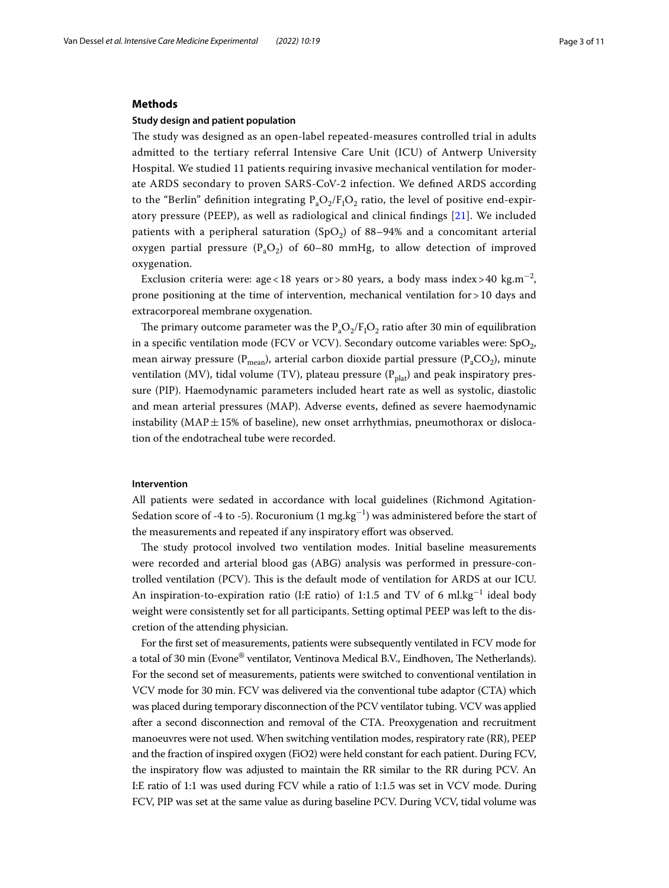#### **Methods**

# **Study design and patient population**

The study was designed as an open-label repeated-measures controlled trial in adults admitted to the tertiary referral Intensive Care Unit (ICU) of Antwerp University Hospital. We studied 11 patients requiring invasive mechanical ventilation for moderate ARDS secondary to proven SARS-CoV-2 infection. We defned ARDS according to the "Berlin" definition integrating  $\rm P_aO_2/F_IO_2$  ratio, the level of positive end-expiratory pressure (PEEP), as well as radiological and clinical fndings [\[21](#page-10-15)]. We included patients with a peripheral saturation (SpO<sub>2</sub>) of 88–94% and a concomitant arterial oxygen partial pressure ( $P_2O_2$ ) of 60–80 mmHg, to allow detection of improved oxygenation.

Exclusion criteria were: age<18 years or>80 years, a body mass index>40 kg.m<sup>-2</sup>, prone positioning at the time of intervention, mechanical ventilation for  $>10$  days and extracorporeal membrane oxygenation.

The primary outcome parameter was the  $P_aO_2/F_1O_2$  ratio after 30 min of equilibration in a specific ventilation mode (FCV or VCV). Secondary outcome variables were:  $SpO<sub>2</sub>$ , mean airway pressure ( $P_{mean}$ ), arterial carbon dioxide partial pressure ( $P_aCO_2$ ), minute ventilation (MV), tidal volume (TV), plateau pressure ( $P_{\text{plat}}$ ) and peak inspiratory pressure (PIP). Haemodynamic parameters included heart rate as well as systolic, diastolic and mean arterial pressures (MAP). Adverse events, defned as severe haemodynamic instability ( $MAP \pm 15\%$  of baseline), new onset arrhythmias, pneumothorax or dislocation of the endotracheal tube were recorded.

## **Intervention**

All patients were sedated in accordance with local guidelines (Richmond Agitation-Sedation score of -4 to -5). Rocuronium (1 mg.kg<sup>-1</sup>) was administered before the start of the measurements and repeated if any inspiratory efort was observed.

The study protocol involved two ventilation modes. Initial baseline measurements were recorded and arterial blood gas (ABG) analysis was performed in pressure-controlled ventilation (PCV). Tis is the default mode of ventilation for ARDS at our ICU. An inspiration-to-expiration ratio (I:E ratio) of 1:1.5 and TV of 6  $\mathrm{ml.kg^{-1}}$  ideal body weight were consistently set for all participants. Setting optimal PEEP was left to the discretion of the attending physician.

For the frst set of measurements, patients were subsequently ventilated in FCV mode for a total of 30 min (Evone® ventilator, Ventinova Medical B.V., Eindhoven, The Netherlands). For the second set of measurements, patients were switched to conventional ventilation in VCV mode for 30 min. FCV was delivered via the conventional tube adaptor (CTA) which was placed during temporary disconnection of the PCV ventilator tubing. VCV was applied after a second disconnection and removal of the CTA. Preoxygenation and recruitment manoeuvres were not used. When switching ventilation modes, respiratory rate (RR), PEEP and the fraction of inspired oxygen (FiO2) were held constant for each patient. During FCV, the inspiratory fow was adjusted to maintain the RR similar to the RR during PCV. An I:E ratio of 1:1 was used during FCV while a ratio of 1:1.5 was set in VCV mode. During FCV, PIP was set at the same value as during baseline PCV. During VCV, tidal volume was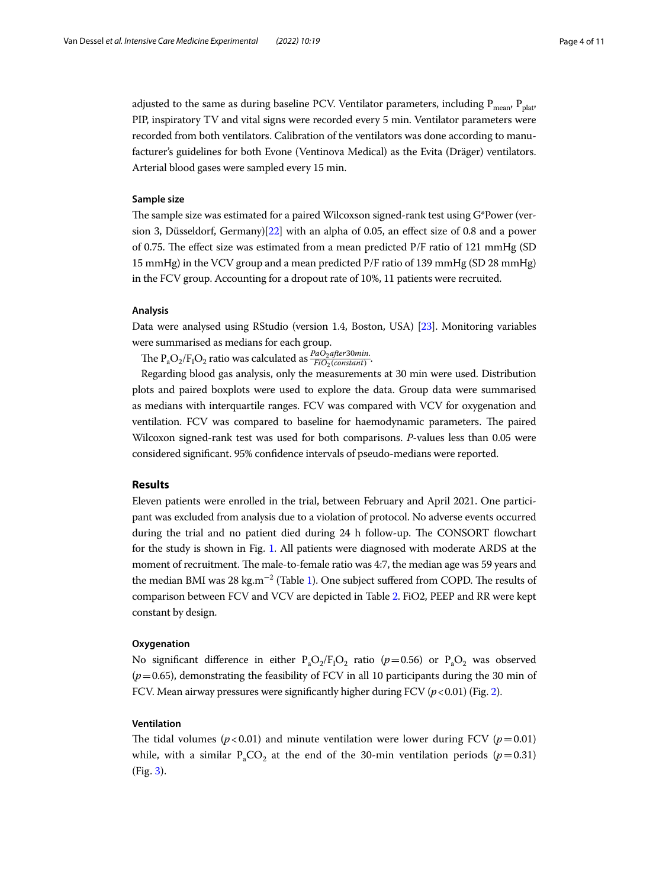adjusted to the same as during baseline PCV. Ventilator parameters, including  $P_{mean}$ ,  $P_{n|at}$ , PIP, inspiratory TV and vital signs were recorded every 5 min. Ventilator parameters were recorded from both ventilators. Calibration of the ventilators was done according to manufacturer's guidelines for both Evone (Ventinova Medical) as the Evita (Dräger) ventilators. Arterial blood gases were sampled every 15 min.

#### **Sample size**

The sample size was estimated for a paired Wilcoxson signed-rank test using  $G^*$ Power (version 3, Düsseldorf, Germany)[\[22\]](#page-10-16) with an alpha of 0.05, an efect size of 0.8 and a power of 0.75. The effect size was estimated from a mean predicted  $P/F$  ratio of 121 mmHg (SD) 15 mmHg) in the VCV group and a mean predicted P/F ratio of 139 mmHg (SD 28 mmHg) in the FCV group. Accounting for a dropout rate of 10%, 11 patients were recruited.

#### **Analysis**

Data were analysed using RStudio (version 1.4, Boston, USA) [\[23\]](#page-10-17). Monitoring variables were summarised as medians for each group.

The P<sub>a</sub>O<sub>2</sub>/F<sub>I</sub>O<sub>2</sub> ratio was calculated as  $\frac{PaO_2after30min}{FiO_2(constant)}$ .

Regarding blood gas analysis, only the measurements at 30 min were used. Distribution plots and paired boxplots were used to explore the data. Group data were summarised as medians with interquartile ranges. FCV was compared with VCV for oxygenation and ventilation. FCV was compared to baseline for haemodynamic parameters. The paired Wilcoxon signed-rank test was used for both comparisons. *P*-values less than 0.05 were considered signifcant. 95% confdence intervals of pseudo-medians were reported.

## **Results**

Eleven patients were enrolled in the trial, between February and April 2021. One participant was excluded from analysis due to a violation of protocol. No adverse events occurred during the trial and no patient died during 24 h follow-up. The CONSORT flowchart for the study is shown in Fig. [1](#page-4-0). All patients were diagnosed with moderate ARDS at the moment of recruitment. The male-to-female ratio was 4:7, the median age was 59 years and the median BMI was 28 kg.m<sup>−2</sup> (Table [1](#page-4-1)). One subject suffered from COPD. The results of comparison between FCV and VCV are depicted in Table [2](#page-5-0). FiO2, PEEP and RR were kept constant by design.

#### **Oxygenation**

No significant difference in either  $P_aO_2/F_1O_2$  ratio ( $p=0.56$ ) or  $P_aO_2$  was observed  $(p=0.65)$ , demonstrating the feasibility of FCV in all 10 participants during the 30 min of FCV. Mean airway pressures were significantly higher during FCV  $(p<0.01)$  (Fig. [2](#page-5-1)).

# **Ventilation**

The tidal volumes ( $p < 0.01$ ) and minute ventilation were lower during FCV ( $p = 0.01$ ) while, with a similar  $P_aCO_2$  at the end of the 30-min ventilation periods ( $p=0.31$ ) (Fig. [3\)](#page-6-0).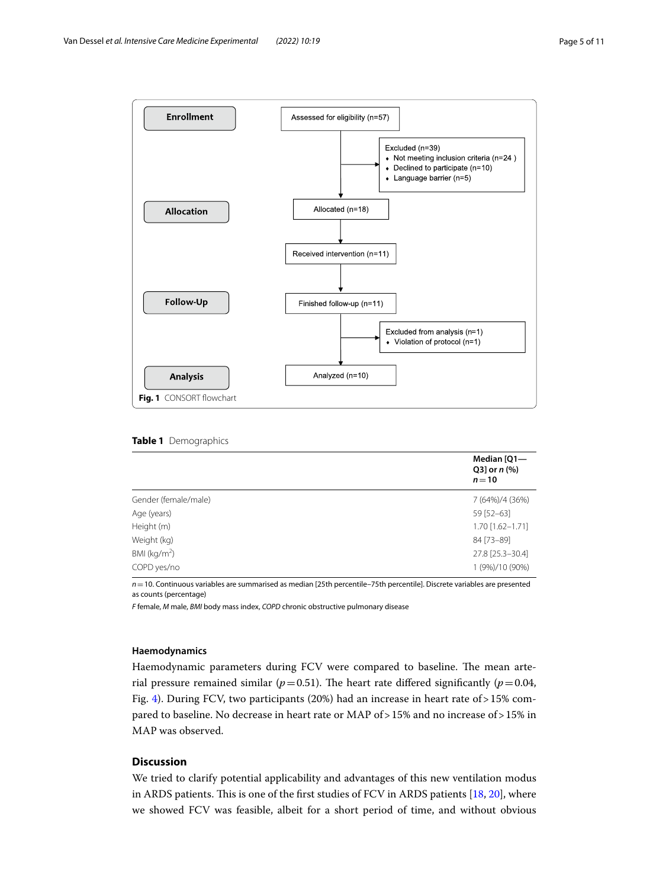

<span id="page-4-1"></span><span id="page-4-0"></span>

|  | Table 1 Demographics |  |
|--|----------------------|--|
|--|----------------------|--|

|                      | Median [Q1-<br>Q3] or $n$ (%)<br>$n=10$ |
|----------------------|-----------------------------------------|
| Gender (female/male) | 7 (64%)/4 (36%)                         |
| Age (years)          | 59 [52-63]                              |
| Height (m)           | 1.70 [1.62-1.71]                        |
| Weight (kg)          | 84 [73-89]                              |
| BMI ( $kg/m2$ )      | 27.8 [25.3-30.4]                        |
| COPD yes/no          | 1 (9%)/10 (90%)                         |

*n*=10. Continuous variables are summarised as median [25th percentile–75th percentile]. Discrete variables are presented as counts (percentage)

*F* female, *M* male, *BMI* body mass index, *COPD* chronic obstructive pulmonary disease

### **Haemodynamics**

Haemodynamic parameters during FCV were compared to baseline. The mean arterial pressure remained similar ( $p=0.51$ ). The heart rate differed significantly ( $p=0.04$ , Fig. [4](#page-6-1)). During FCV, two participants (20%) had an increase in heart rate of  $>15\%$  compared to baseline. No decrease in heart rate or MAP of>15% and no increase of>15% in MAP was observed.

# **Discussion**

We tried to clarify potential applicability and advantages of this new ventilation modus in ARDS patients. This is one of the first studies of FCV in ARDS patients  $[18, 20]$  $[18, 20]$  $[18, 20]$  $[18, 20]$ , where we showed FCV was feasible, albeit for a short period of time, and without obvious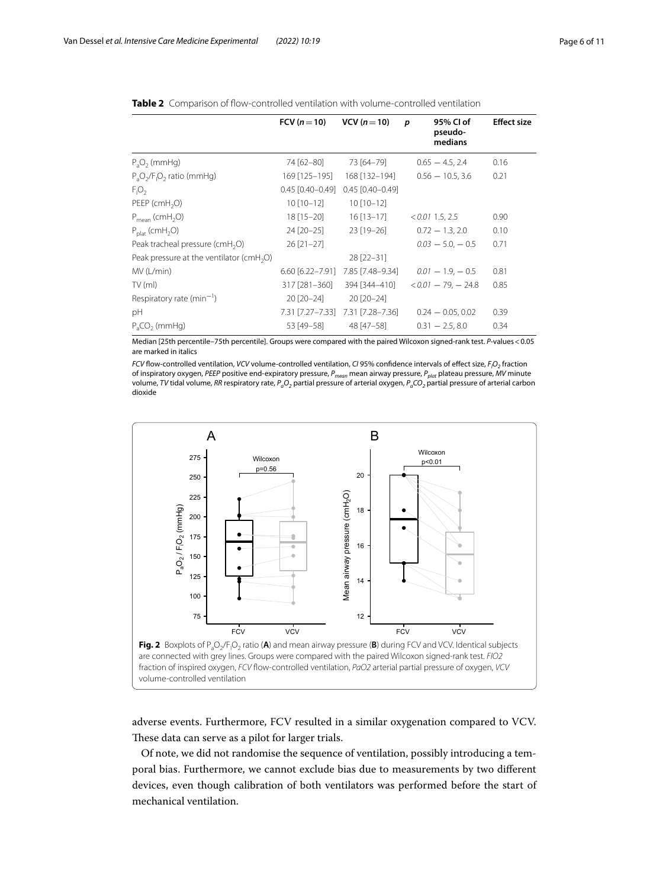|                                             | FCV $(n=10)$           | VCV $(n=10)$           | 95% CI of<br>p<br>pseudo-<br>medians | <b>Effect size</b> |
|---------------------------------------------|------------------------|------------------------|--------------------------------------|--------------------|
| $P_aO_2$ (mmHg)                             | 74 [62-80]             | 73 [64-79]             | $0.65 - 4.5, 2.4$                    | 0.16               |
| $P_aO_2/F_1O_2$ ratio (mmHg)                | 169 [125-195]          | 168 [132-194]          | $0.56 - 10.5, 3.6$                   | 0.21               |
| $F_1O_2$                                    | $0.45$ $[0.40 - 0.49]$ | $0.45$ $[0.40 - 0.49]$ |                                      |                    |
| PEEP ( $cmH2O$ )                            | $10$ [10-12]           | $10$ [10-12]           |                                      |                    |
| $P_{mean}$ (cmH <sub>2</sub> O)             | $18$ [15-20]           | $16$ [13-17]           | $< 0.01$ 1.5, 2.5                    | 0.90               |
| $P_{\text{plat}}$ (cmH <sub>2</sub> O)      | 24 [20-25]             | $23$ [19-26]           | $0.72 - 1.3, 2.0$                    | 0.10               |
| Peak tracheal pressure (cmH <sub>2</sub> O) | $26$ [21-27]           |                        | $0.03 - 5.0 - 0.5$                   | 0.71               |
| Peak pressure at the ventilator ( $cmH2O$ ) |                        | $28$ [22-31]           |                                      |                    |
| MV (L/min)                                  | $6.60$ [6.22-7.91]     | 7.85 [7.48–9.34]       | $0.01 - 1.9 - 0.5$                   | 0.81               |
| TV(m)                                       | 317 [281-360]          | 394 [344-410]          | $< 0.01 - 79 - 24.8$                 | 0.85               |
| Respiratory rate ( $min^{-1}$ )             | $20$ $[20-24]$         | 20 [20-24]             |                                      |                    |
| pH                                          | 7.31 [7.27-7.33]       | 7.31 [7.28-7.36]       | $0.24 - 0.05, 0.02$                  | 0.39               |
| $PaCO2$ (mmHg)                              | 53 [49-58]             | 48 [47-58]             | $0.31 - 2.5, 8.0$                    | 0.34               |

<span id="page-5-0"></span>

| <b>Table 2</b> Comparison of flow-controlled ventilation with volume-controlled ventilation |  |
|---------------------------------------------------------------------------------------------|--|
|---------------------------------------------------------------------------------------------|--|

Median [25th percentile–75th percentile]. Groups were compared with the paired Wilcoxon signed-rank test. *P*-values<0.05 are marked in italics

*FCV* fow-controlled ventilation, *VCV* volume-controlled ventilation, *CI* 95% confdence intervals of efect size, *FI O2* fraction of inspiratory oxygen, *PEEP* positive end-expiratory pressure, *Pmean* mean airway pressure, *Pplat* plateau pressure, *MV* minute volume, *TV* tidal volume, *RR* respiratory rate, *PaO2* partial pressure of arterial oxygen, *PaCO2* partial pressure of arterial carbon dioxide



<span id="page-5-1"></span>adverse events. Furthermore, FCV resulted in a similar oxygenation compared to VCV. These data can serve as a pilot for larger trials.

Of note, we did not randomise the sequence of ventilation, possibly introducing a temporal bias. Furthermore, we cannot exclude bias due to measurements by two diferent devices, even though calibration of both ventilators was performed before the start of mechanical ventilation.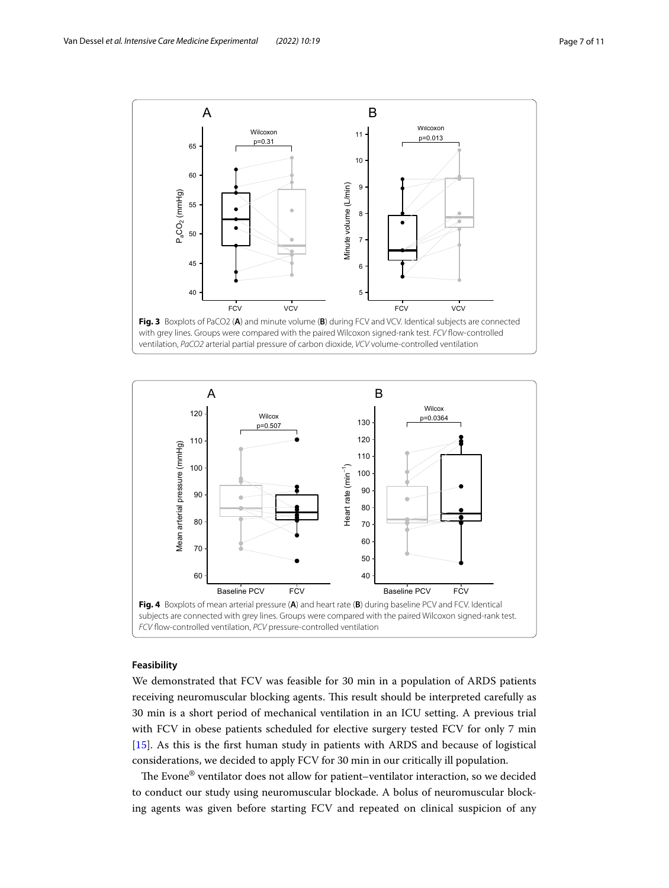

<span id="page-6-0"></span>

# <span id="page-6-1"></span>**Feasibility**

We demonstrated that FCV was feasible for 30 min in a population of ARDS patients receiving neuromuscular blocking agents. This result should be interpreted carefully as 30 min is a short period of mechanical ventilation in an ICU setting. A previous trial with FCV in obese patients scheduled for elective surgery tested FCV for only 7 min [[15\]](#page-10-10). As this is the frst human study in patients with ARDS and because of logistical considerations, we decided to apply FCV for 30 min in our critically ill population.

The Evone® ventilator does not allow for patient–ventilator interaction, so we decided to conduct our study using neuromuscular blockade. A bolus of neuromuscular blocking agents was given before starting FCV and repeated on clinical suspicion of any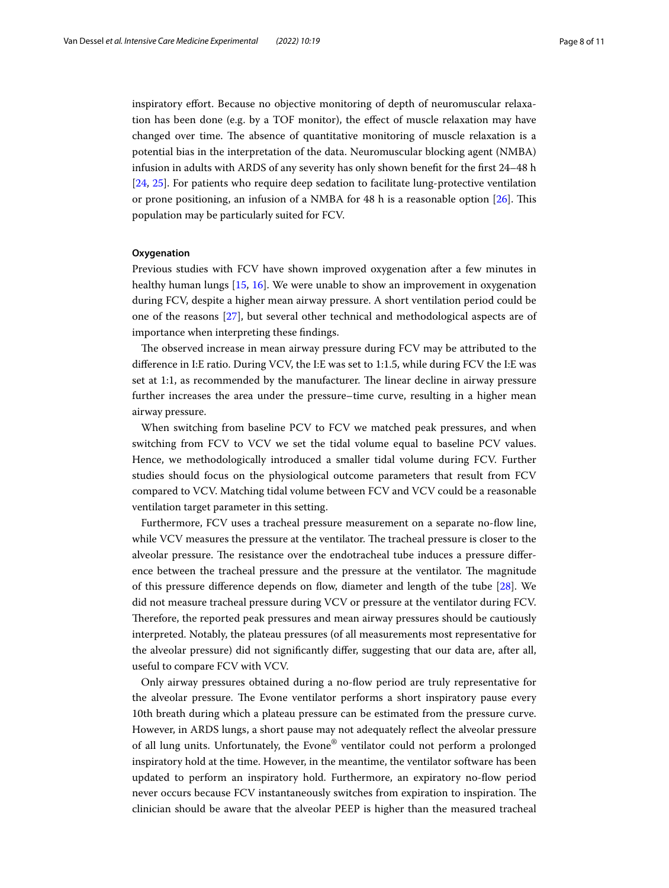inspiratory efort. Because no objective monitoring of depth of neuromuscular relaxation has been done (e.g. by a TOF monitor), the efect of muscle relaxation may have changed over time. The absence of quantitative monitoring of muscle relaxation is a potential bias in the interpretation of the data. Neuromuscular blocking agent (NMBA) infusion in adults with ARDS of any severity has only shown beneft for the frst 24–48 h [[24,](#page-10-18) [25\]](#page-10-19). For patients who require deep sedation to facilitate lung-protective ventilation or prone positioning, an infusion of a NMBA for  $48$  h is a reasonable option  $[26]$  $[26]$ . This population may be particularly suited for FCV.

#### **Oxygenation**

Previous studies with FCV have shown improved oxygenation after a few minutes in healthy human lungs [[15,](#page-10-10) [16](#page-10-11)]. We were unable to show an improvement in oxygenation during FCV, despite a higher mean airway pressure. A short ventilation period could be one of the reasons [\[27](#page-10-21)], but several other technical and methodological aspects are of importance when interpreting these fndings.

The observed increase in mean airway pressure during FCV may be attributed to the diference in I:E ratio. During VCV, the I:E was set to 1:1.5, while during FCV the I:E was set at 1:1, as recommended by the manufacturer. The linear decline in airway pressure further increases the area under the pressure–time curve, resulting in a higher mean airway pressure.

When switching from baseline PCV to FCV we matched peak pressures, and when switching from FCV to VCV we set the tidal volume equal to baseline PCV values. Hence, we methodologically introduced a smaller tidal volume during FCV. Further studies should focus on the physiological outcome parameters that result from FCV compared to VCV. Matching tidal volume between FCV and VCV could be a reasonable ventilation target parameter in this setting.

Furthermore, FCV uses a tracheal pressure measurement on a separate no-fow line, while VCV measures the pressure at the ventilator. The tracheal pressure is closer to the alveolar pressure. The resistance over the endotracheal tube induces a pressure difference between the tracheal pressure and the pressure at the ventilator. The magnitude of this pressure difference depends on flow, diameter and length of the tube [\[28\]](#page-10-22). We did not measure tracheal pressure during VCV or pressure at the ventilator during FCV. Therefore, the reported peak pressures and mean airway pressures should be cautiously interpreted. Notably, the plateau pressures (of all measurements most representative for the alveolar pressure) did not signifcantly difer, suggesting that our data are, after all, useful to compare FCV with VCV.

Only airway pressures obtained during a no-fow period are truly representative for the alveolar pressure. The Evone ventilator performs a short inspiratory pause every 10th breath during which a plateau pressure can be estimated from the pressure curve. However, in ARDS lungs, a short pause may not adequately refect the alveolar pressure of all lung units. Unfortunately, the Evone® ventilator could not perform a prolonged inspiratory hold at the time. However, in the meantime, the ventilator software has been updated to perform an inspiratory hold. Furthermore, an expiratory no-fow period never occurs because FCV instantaneously switches from expiration to inspiration. The clinician should be aware that the alveolar PEEP is higher than the measured tracheal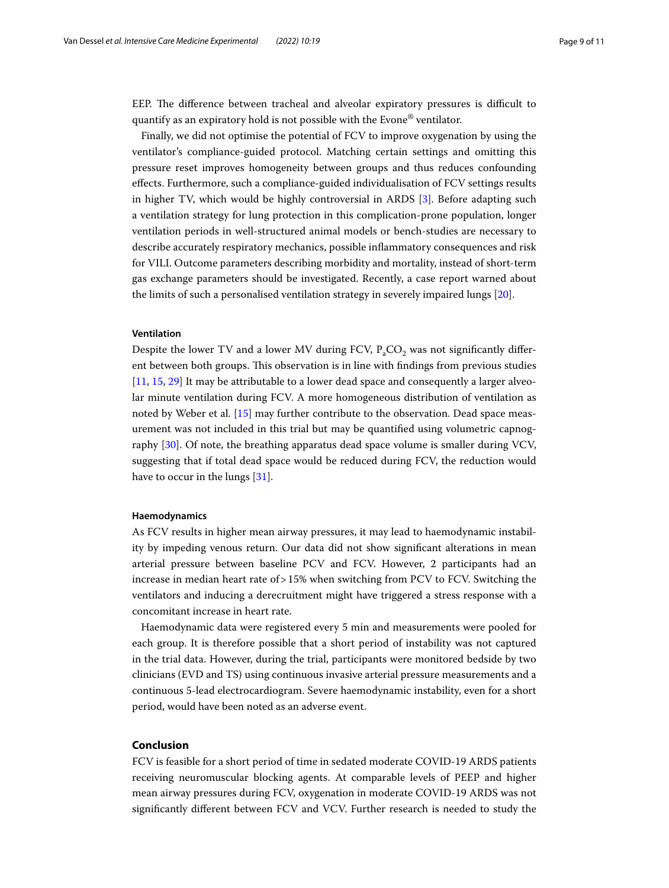EEP. The difference between tracheal and alveolar expiratory pressures is difficult to quantify as an expiratory hold is not possible with the Evone® ventilator.

Finally, we did not optimise the potential of FCV to improve oxygenation by using the ventilator's compliance-guided protocol. Matching certain settings and omitting this pressure reset improves homogeneity between groups and thus reduces confounding efects. Furthermore, such a compliance-guided individualisation of FCV settings results in higher TV, which would be highly controversial in ARDS [\[3\]](#page-9-3). Before adapting such a ventilation strategy for lung protection in this complication-prone population, longer ventilation periods in well-structured animal models or bench-studies are necessary to describe accurately respiratory mechanics, possible infammatory consequences and risk for VILI. Outcome parameters describing morbidity and mortality, instead of short-term gas exchange parameters should be investigated. Recently, a case report warned about the limits of such a personalised ventilation strategy in severely impaired lungs [\[20\]](#page-10-14).

#### **Ventilation**

Despite the lower TV and a lower MV during FCV,  $P_aCO_2$  was not significantly different between both groups. Tis observation is in line with fndings from previous studies [[11,](#page-10-6) [15](#page-10-10), [29\]](#page-10-23) It may be attributable to a lower dead space and consequently a larger alveolar minute ventilation during FCV. A more homogeneous distribution of ventilation as noted by Weber et al. [\[15](#page-10-10)] may further contribute to the observation. Dead space measurement was not included in this trial but may be quantifed using volumetric capnography [[30\]](#page-10-24). Of note, the breathing apparatus dead space volume is smaller during VCV, suggesting that if total dead space would be reduced during FCV, the reduction would have to occur in the lungs [[31\]](#page-10-25).

#### **Haemodynamics**

As FCV results in higher mean airway pressures, it may lead to haemodynamic instability by impeding venous return. Our data did not show signifcant alterations in mean arterial pressure between baseline PCV and FCV. However, 2 participants had an increase in median heart rate of>15% when switching from PCV to FCV. Switching the ventilators and inducing a derecruitment might have triggered a stress response with a concomitant increase in heart rate.

Haemodynamic data were registered every 5 min and measurements were pooled for each group. It is therefore possible that a short period of instability was not captured in the trial data. However, during the trial, participants were monitored bedside by two clinicians (EVD and TS) using continuous invasive arterial pressure measurements and a continuous 5-lead electrocardiogram. Severe haemodynamic instability, even for a short period, would have been noted as an adverse event.

# **Conclusion**

FCV is feasible for a short period of time in sedated moderate COVID-19 ARDS patients receiving neuromuscular blocking agents. At comparable levels of PEEP and higher mean airway pressures during FCV, oxygenation in moderate COVID-19 ARDS was not signifcantly diferent between FCV and VCV. Further research is needed to study the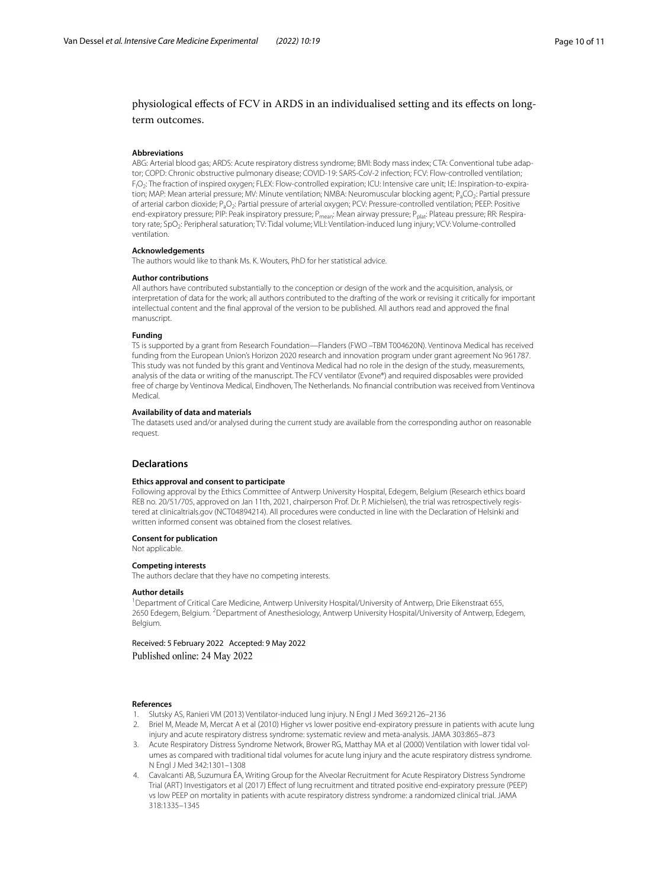# physiological efects of FCV in ARDS in an individualised setting and its efects on longterm outcomes.

#### **Abbreviations**

ABG: Arterial blood gas; ARDS: Acute respiratory distress syndrome; BMI: Body mass index; CTA: Conventional tube adaptor; COPD: Chronic obstructive pulmonary disease; COVID-19: SARS-CoV-2 infection; FCV: Flow-controlled ventilation; FI O2: The fraction of inspired oxygen; FLEX: Flow-controlled expiration; ICU: Intensive care unit; I:E: Inspiration-to-expiration; MAP: Mean arterial pressure; MV: Minute ventilation; NMBA: Neuromuscular blocking agent; P<sub>a</sub>CO<sub>2</sub>: Partial pressure of arterial carbon dioxide; P<sub>3</sub>O<sub>2</sub>: Partial pressure of arterial oxygen; PCV: Pressure-controlled ventilation; PEEP: Positive end-expiratory pressure; PIP: Peak inspiratory pressure; P<sub>mean</sub>: Mean airway pressure; P<sub>plat</sub>: Plateau pressure; RR: Respiratory rate; SpO<sub>2</sub>: Peripheral saturation; TV: Tidal volume; VILI: Ventilation-induced lung injury; VCV: Volume-controlled ventilation.

#### **Acknowledgements**

The authors would like to thank Ms. K. Wouters, PhD for her statistical advice.

#### **Author contributions**

All authors have contributed substantially to the conception or design of the work and the acquisition, analysis, or interpretation of data for the work; all authors contributed to the drafting of the work or revising it critically for important intellectual content and the fnal approval of the version to be published. All authors read and approved the fnal manuscript.

#### **Funding**

TS is supported by a grant from Research Foundation—Flanders (FWO –TBM T004620N). Ventinova Medical has received funding from the European Union's Horizon 2020 research and innovation program under grant agreement No 961787. This study was not funded by this grant and Ventinova Medical had no role in the design of the study, measurements, analysis of the data or writing of the manuscript. The FCV ventilator (Evone®) and required disposables were provided free of charge by Ventinova Medical, Eindhoven, The Netherlands. No fnancial contribution was received from Ventinova Medical.

#### **Availability of data and materials**

The datasets used and/or analysed during the current study are available from the corresponding author on reasonable request.

#### **Declarations**

#### **Ethics approval and consent to participate**

Following approval by the Ethics Committee of Antwerp University Hospital, Edegem, Belgium (Research ethics board REB no. 20/51/705, approved on Jan 11th, 2021, chairperson Prof. Dr. P. Michielsen), the trial was retrospectively registered at clinicaltrials.gov (NCT04894214). All procedures were conducted in line with the Declaration of Helsinki and written informed consent was obtained from the closest relatives.

#### **Consent for publication**

Not applicable.

#### **Competing interests**

The authors declare that they have no competing interests.

#### **Author details**

<sup>1</sup>Department of Critical Care Medicine, Antwerp University Hospital/University of Antwerp, Drie Eikenstraat 655, 2650 Edegem, Belgium. <sup>2</sup> Department of Anesthesiology, Antwerp University Hospital/University of Antwerp, Edegem, Belgium.

Received: 5 February 2022 Accepted: 9 May 2022 Published online: 24 May 2022

#### **References**

- <span id="page-9-0"></span>1. Slutsky AS, Ranieri VM (2013) Ventilator-induced lung injury. N Engl J Med 369:2126–2136
- <span id="page-9-1"></span>2. Briel M, Meade M, Mercat A et al (2010) Higher vs lower positive end-expiratory pressure in patients with acute lung injury and acute respiratory distress syndrome: systematic review and meta-analysis. JAMA 303:865–873
- <span id="page-9-3"></span>3. Acute Respiratory Distress Syndrome Network, Brower RG, Matthay MA et al (2000) Ventilation with lower tidal volumes as compared with traditional tidal volumes for acute lung injury and the acute respiratory distress syndrome. N Engl J Med 342:1301–1308
- <span id="page-9-2"></span>4. Cavalcanti AB, Suzumura ÉA, Writing Group for the Alveolar Recruitment for Acute Respiratory Distress Syndrome Trial (ART) Investigators et al (2017) Efect of lung recruitment and titrated positive end-expiratory pressure (PEEP) vs low PEEP on mortality in patients with acute respiratory distress syndrome: a randomized clinical trial. JAMA 318:1335–1345